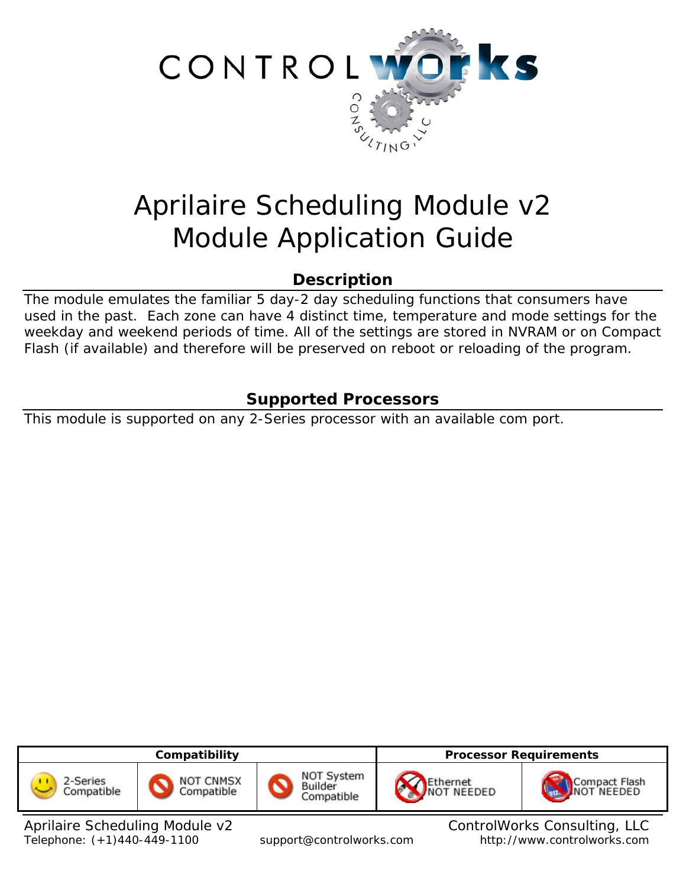

# Aprilaire Scheduling Module v2 Module Application Guide

# **Description**

The module emulates the familiar 5 day-2 day scheduling functions that consumers have used in the past. Each zone can have 4 distinct time, temperature and mode settings for the weekday and weekend periods of time. All of the settings are stored in NVRAM or on Compact Flash (if available) and therefore will be preserved on reboot or reloading of the program.

# **Supported Processors**

This module is supported on any 2-Series processor with an available com port.



Aprilaire Scheduling Module v2 ControlWorks Consulting, LLC Telephone: (+1)440-449-1100 support@controlworks.com http://www.controlworks.com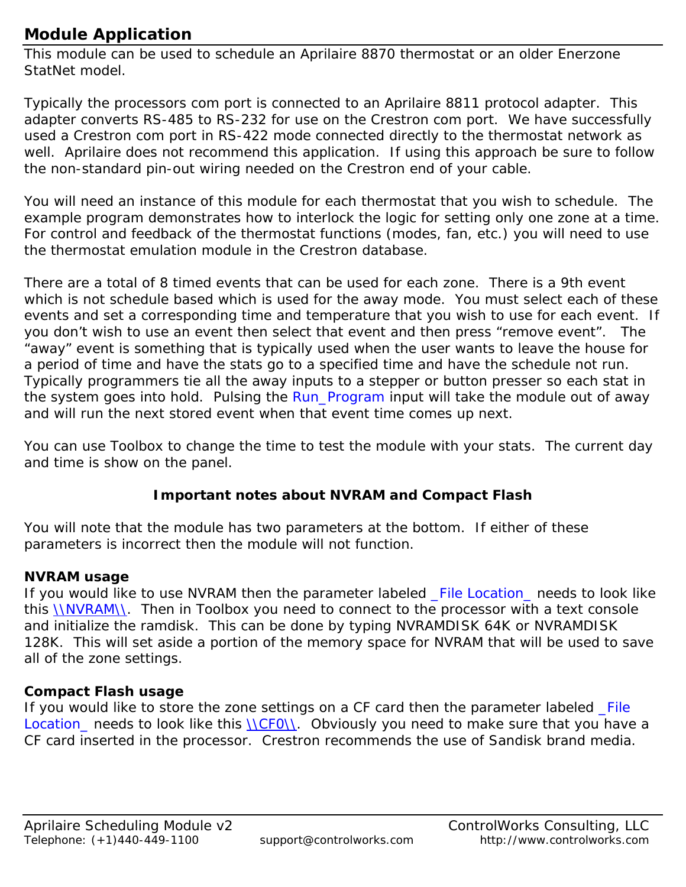# **Module Application**

This module can be used to schedule an Aprilaire 8870 thermostat or an older Enerzone StatNet model.

Typically the processors com port is connected to an Aprilaire 8811 protocol adapter. This adapter converts RS-485 to RS-232 for use on the Crestron com port. We have successfully used a Crestron com port in RS-422 mode connected directly to the thermostat network as well. Aprilaire does not recommend this application. If using this approach be sure to follow the non-standard pin-out wiring needed on the Crestron end of your cable.

You will need an instance of this module for each thermostat that you wish to schedule. The example program demonstrates how to interlock the logic for setting only one zone at a time. For control and feedback of the thermostat functions (modes, fan, etc.) you will need to use the thermostat emulation module in the Crestron database.

There are a total of 8 timed events that can be used for each zone. There is a 9th event which is not schedule based which is used for the away mode. You must select each of these events and set a corresponding time and temperature that you wish to use for each event. If you don't wish to use an event then select that event and then press "remove event". The "away" event is something that is typically used when the user wants to leave the house for a period of time and have the stats go to a specified time and have the schedule not run. Typically programmers tie all the away inputs to a stepper or button presser so each stat in the system goes into hold. Pulsing the Run\_Program input will take the module out of away and will run the next stored event when that event time comes up next.

You can use Toolbox to change the time to test the module with your stats. The current day and time is show on the panel.

## **Important notes about NVRAM and Compact Flash**

You will note that the module has two parameters at the bottom. If either of these parameters is incorrect then the module will not function.

## **NVRAM usage**

If you would like to use NVRAM then the parameter labeled File Location needs to look like this \\NVRAM\\. Then in Toolbox you need to connect to the processor with a text console and initialize the ramdisk. This can be done by typing NVRAMDISK 64K or NVRAMDISK 128K. This will set aside a portion of the memory space for NVRAM that will be used to save all of the zone settings.

### **Compact Flash usage**

If you would like to store the zone settings on a CF card then the parameter labeled File Location\_ needs to look like this \\CF0\\. Obviously you need to make sure that you have a CF card inserted in the processor. Crestron recommends the use of Sandisk brand media.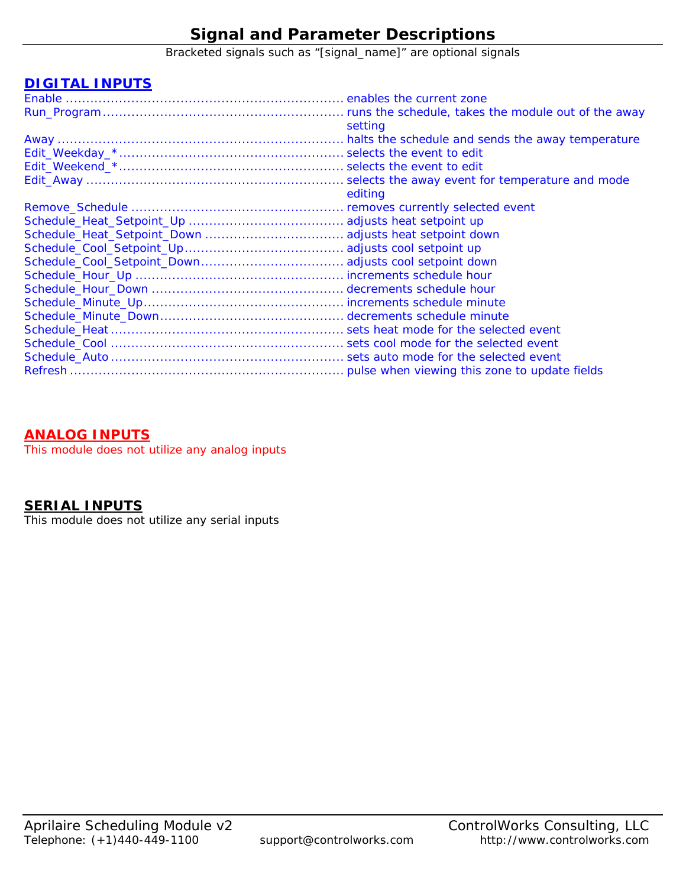# **Signal and Parameter Descriptions**

Bracketed signals such as "[signal\_name]" are optional signals

#### **DIGITAL INPUTS**

| setting |
|---------|
|         |
|         |
|         |
|         |
| editing |
|         |
|         |
|         |
|         |
|         |
|         |
|         |
|         |
|         |
|         |
|         |
|         |
|         |
|         |

#### **ANALOG INPUTS**

This module does not utilize any analog inputs

#### **SERIAL INPUTS**

This module does not utilize any serial inputs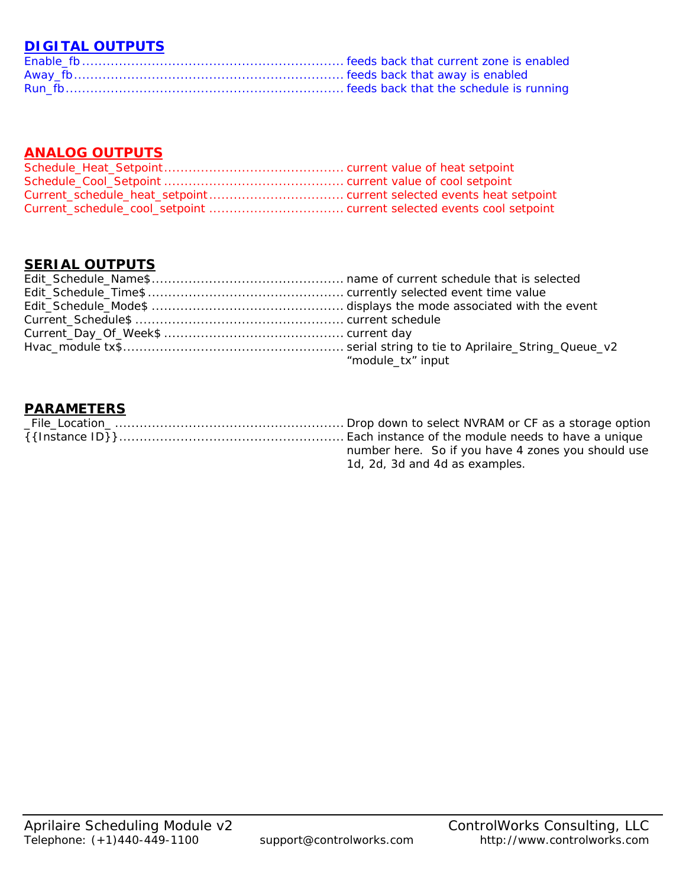## **DIGITAL OUTPUTS**

## **ANALOG OUTPUTS**

#### **SERIAL OUTPUTS**

| "module_tx" input |
|-------------------|

#### **PARAMETERS**

| number here. So if you have 4 zones you should use |
|----------------------------------------------------|
| 1d, 2d, 3d and 4d as examples.                     |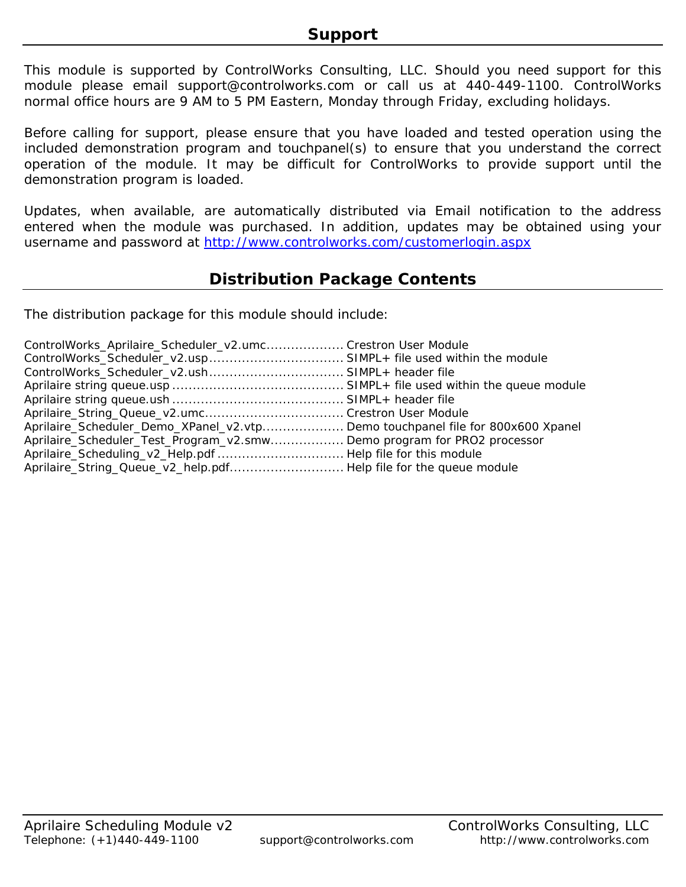This module is supported by ControlWorks Consulting, LLC. Should you need support for this module please email support@controlworks.com or call us at 440-449-1100. ControlWorks normal office hours are 9 AM to 5 PM Eastern, Monday through Friday, excluding holidays.

Before calling for support, please ensure that you have loaded and tested operation using the included demonstration program and touchpanel(s) to ensure that you understand the correct operation of the module. It may be difficult for ControlWorks to provide support until the demonstration program is loaded.

Updates, when available, are automatically distributed via Email notification to the address entered when the module was purchased. In addition, updates may be obtained using your username and password at<http://www.controlworks.com/customerlogin.aspx>

## **Distribution Package Contents**

The distribution package for this module should include:

| ControlWorks_Aprilaire_Scheduler_v2.umc Crestron User Module                   |  |
|--------------------------------------------------------------------------------|--|
|                                                                                |  |
|                                                                                |  |
|                                                                                |  |
|                                                                                |  |
|                                                                                |  |
| Aprilaire_Scheduler_Demo_XPanel_v2.vtp Demo touchpanel file for 800x600 Xpanel |  |
| Aprilaire_Scheduler_Test_Program_v2.smw Demo program for PRO2 processor        |  |
|                                                                                |  |
| Aprilaire_String_Queue_v2_help.pdf Help file for the queue module              |  |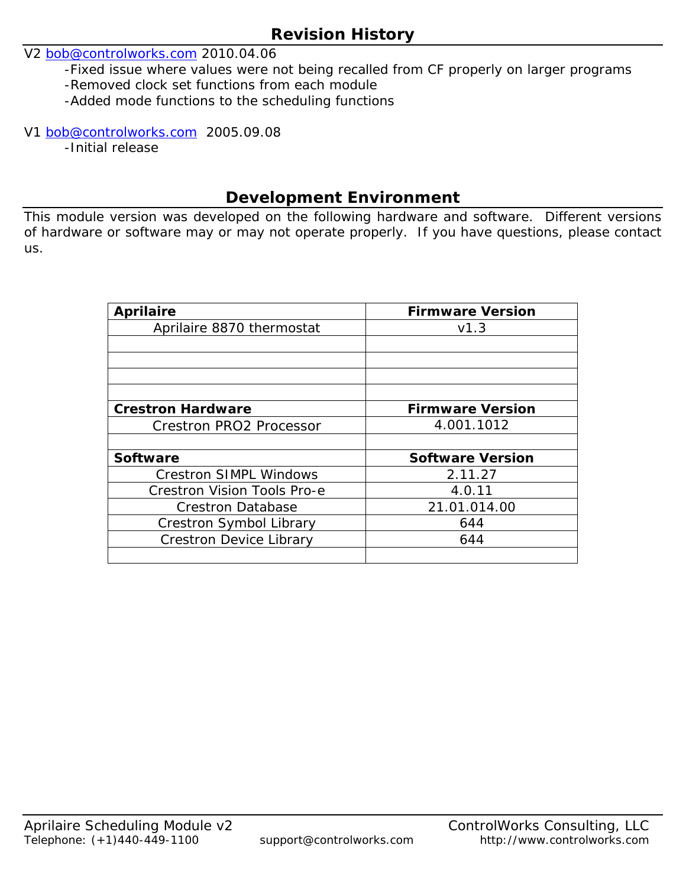## **Revision History**

## V2 [bob@controlworks.com](mailto:bob@controlworks.com) 2010.04.06

-Fixed issue where values were not being recalled from CF properly on larger programs

- -Removed clock set functions from each module
- -Added mode functions to the scheduling functions

#### V1 [bob@controlworks.com](mailto:bob@controlworks.com) 2005.09.08

-Initial release

## **Development Environment**

This module version was developed on the following hardware and software. Different versions of hardware or software may or may not operate properly. If you have questions, please contact us.

| <b>Aprilaire</b>                   | <b>Firmware Version</b> |
|------------------------------------|-------------------------|
| Aprilaire 8870 thermostat          | V1.3                    |
|                                    |                         |
|                                    |                         |
|                                    |                         |
|                                    |                         |
| <b>Crestron Hardware</b>           | <b>Firmware Version</b> |
| <b>Crestron PRO2 Processor</b>     | 4.001.1012              |
|                                    |                         |
| <b>Software</b>                    | <b>Software Version</b> |
| <b>Crestron SIMPL Windows</b>      | 2.11.27                 |
| <b>Crestron Vision Tools Pro-e</b> | 4.0.11                  |
| <b>Crestron Database</b>           | 21.01.014.00            |
| Crestron Symbol Library            | 644                     |
| <b>Crestron Device Library</b>     | 644                     |
|                                    |                         |